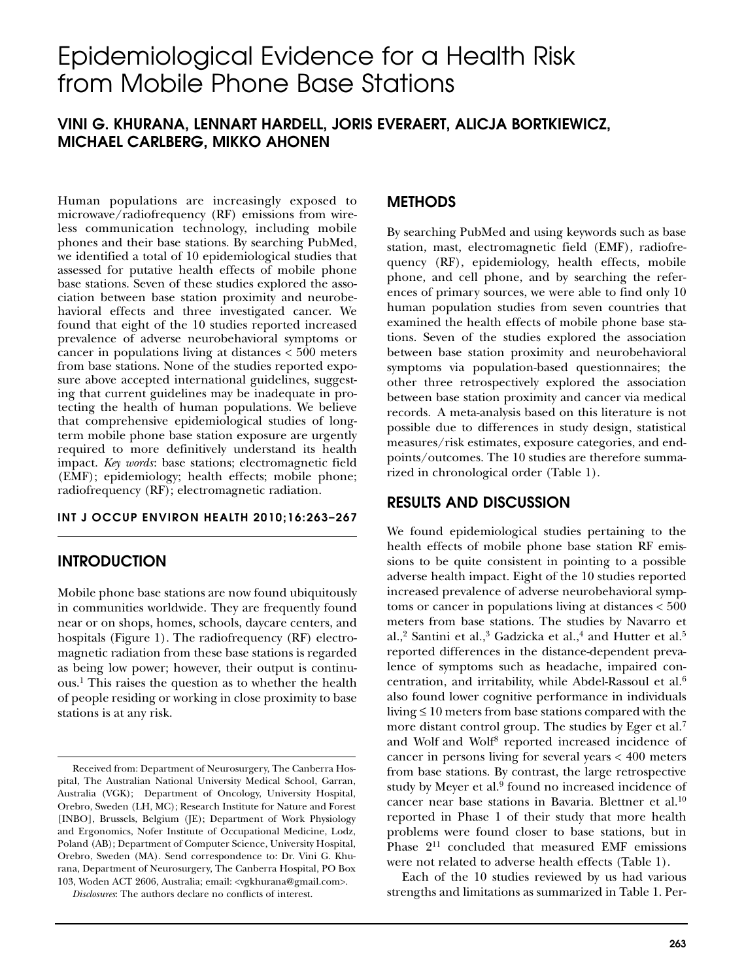# Epidemiological Evidence for a Health Risk from Mobile Phone Base Stations

# **VINI G. KHURANA, LENNART HARDELL, JORIS EVERAERT, ALICJA BORTKIEWICZ, MICHAEL CARLBERG, MIKKO AHONEN**

Human populations are increasingly exposed to microwave/radiofrequency (RF) emissions from wireless communication technology, including mobile phones and their base stations. By searching PubMed, we identified a total of 10 epidemiological studies that assessed for putative health effects of mobile phone base stations. Seven of these studies explored the association between base station proximity and neurobehavioral effects and three investigated cancer. We found that eight of the 10 studies reported increased prevalence of adverse neurobehavioral symptoms or cancer in populations living at distances < 500 meters from base stations. None of the studies reported exposure above accepted international guidelines, suggesting that current guidelines may be inadequate in protecting the health of human populations. We believe that comprehensive epidemiological studies of longterm mobile phone base station exposure are urgently required to more definitively understand its health impact. *Key words*: base stations; electromagnetic field (EMF); epidemiology; health effects; mobile phone; radiofrequency (RF); electromagnetic radiation.

### **INT J OCCUP ENVIRON HEALTH 2010;16:263–267**

## **INTRODUCTION**

Mobile phone base stations are now found ubiquitously in communities worldwide. They are frequently found near or on shops, homes, schools, daycare centers, and hospitals (Figure 1). The radiofrequency (RF) electromagnetic radiation from these base stations is regarded as being low power; however, their output is continuous.1 This raises the question as to whether the health of people residing or working in close proximity to base stations is at any risk.

## **METHODS**

By searching PubMed and using keywords such as base station, mast, electromagnetic field (EMF), radiofrequency (RF), epidemiology, health effects, mobile phone, and cell phone, and by searching the references of primary sources, we were able to find only 10 human population studies from seven countries that examined the health effects of mobile phone base stations. Seven of the studies explored the association between base station proximity and neurobehavioral symptoms via population-based questionnaires; the other three retrospectively explored the association between base station proximity and cancer via medical records. A meta-analysis based on this literature is not possible due to differences in study design, statistical measures/risk estimates, exposure categories, and endpoints/outcomes. The 10 studies are therefore summarized in chronological order (Table 1).

## **RESULTS AND DISCUSSION**

We found epidemiological studies pertaining to the health effects of mobile phone base station RF emissions to be quite consistent in pointing to a possible adverse health impact. Eight of the 10 studies reported increased prevalence of adverse neurobehavioral symptoms or cancer in populations living at distances < 500 meters from base stations. The studies by Navarro et al.,<sup>2</sup> Santini et al.,<sup>3</sup> Gadzicka et al.,<sup>4</sup> and Hutter et al.<sup>5</sup> reported differences in the distance-dependent prevalence of symptoms such as headache, impaired concentration, and irritability, while Abdel-Rassoul et al.6 also found lower cognitive performance in individuals living ≤ 10 meters from base stations compared with the more distant control group. The studies by Eger et al.<sup>7</sup> and Wolf and Wolf<sup>8</sup> reported increased incidence of cancer in persons living for several years < 400 meters from base stations. By contrast, the large retrospective study by Meyer et al.<sup>9</sup> found no increased incidence of cancer near base stations in Bavaria. Blettner et al.<sup>10</sup> reported in Phase 1 of their study that more health problems were found closer to base stations, but in Phase  $2^{11}$  concluded that measured EMF emissions were not related to adverse health effects (Table 1).

Each of the 10 studies reviewed by us had various strengths and limitations as summarized in Table 1. Per-

Received from: Department of Neurosurgery, The Canberra Hospital, The Australian National University Medical School, Garran, Australia (VGK); Department of Oncology, University Hospital, Orebro, Sweden (LH, MC); Research Institute for Nature and Forest [INBO], Brussels, Belgium (JE); Department of Work Physiology and Ergonomics, Nofer Institute of Occupational Medicine, Lodz, Poland (AB); Department of Computer Science, University Hospital, Orebro, Sweden (MA). Send correspondence to: Dr. Vini G. Khurana, Department of Neurosurgery, The Canberra Hospital, PO Box 103, Woden ACT 2606, Australia; email: <vgkhurana@gmail.com>.

*Disclosures*: The authors declare no conflicts of interest.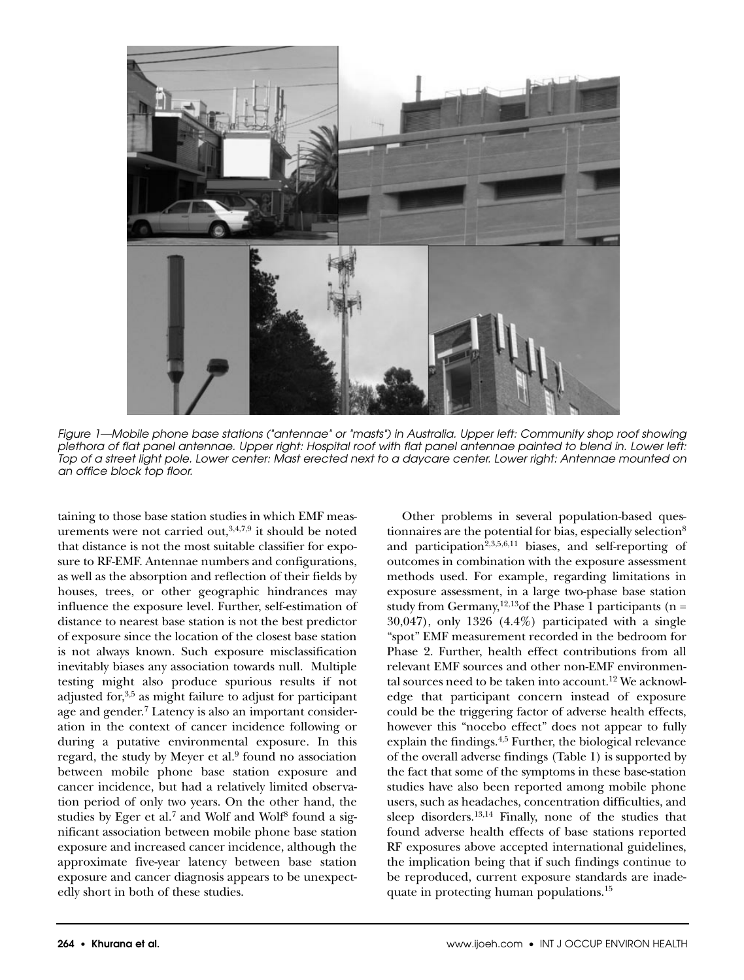

*Figure 1—Mobile phone base stations ("antennae" or "masts") in Australia. Upper left: Community shop roof showing plethora of flat panel antennae. Upper right: Hospital roof with flat panel antennae painted to blend in. Lower left: Top of a street light pole. Lower center: Mast erected next to a daycare center. Lower right: Antennae mounted on an office block top floor.*

taining to those base station studies in which EMF measurements were not carried out, $3,4,7,9$  it should be noted that distance is not the most suitable classifier for exposure to RF-EMF. Antennae numbers and configurations, as well as the absorption and reflection of their fields by houses, trees, or other geographic hindrances may influence the exposure level. Further, self-estimation of distance to nearest base station is not the best predictor of exposure since the location of the closest base station is not always known. Such exposure misclassification inevitably biases any association towards null. Multiple testing might also produce spurious results if not adjusted for,<sup>3,5</sup> as might failure to adjust for participant age and gender.<sup>7</sup> Latency is also an important consideration in the context of cancer incidence following or during a putative environmental exposure. In this regard, the study by Meyer et al.<sup>9</sup> found no association between mobile phone base station exposure and cancer incidence, but had a relatively limited observation period of only two years. On the other hand, the studies by Eger et al.<sup>7</sup> and Wolf and Wolf<sup>8</sup> found a significant association between mobile phone base station exposure and increased cancer incidence, although the approximate five-year latency between base station exposure and cancer diagnosis appears to be unexpectedly short in both of these studies.

Other problems in several population-based questionnaires are the potential for bias, especially selection $8$ and participation<sup>2,3,5,6,11</sup> biases, and self-reporting of outcomes in combination with the exposure assessment methods used. For example, regarding limitations in exposure assessment, in a large two-phase base station study from Germany,<sup>12,13</sup>of the Phase 1 participants (n = 30,047), only 1326 (4.4%) participated with a single "spot" EMF measurement recorded in the bedroom for Phase 2. Further, health effect contributions from all relevant EMF sources and other non-EMF environmental sources need to be taken into account.<sup>12</sup> We acknowledge that participant concern instead of exposure could be the triggering factor of adverse health effects, however this "nocebo effect" does not appear to fully explain the findings.4,5 Further, the biological relevance of the overall adverse findings (Table 1) is supported by the fact that some of the symptoms in these base-station studies have also been reported among mobile phone users, such as headaches, concentration difficulties, and sleep disorders.<sup>13,14</sup> Finally, none of the studies that found adverse health effects of base stations reported RF exposures above accepted international guidelines, the implication being that if such findings continue to be reproduced, current exposure standards are inadequate in protecting human populations.15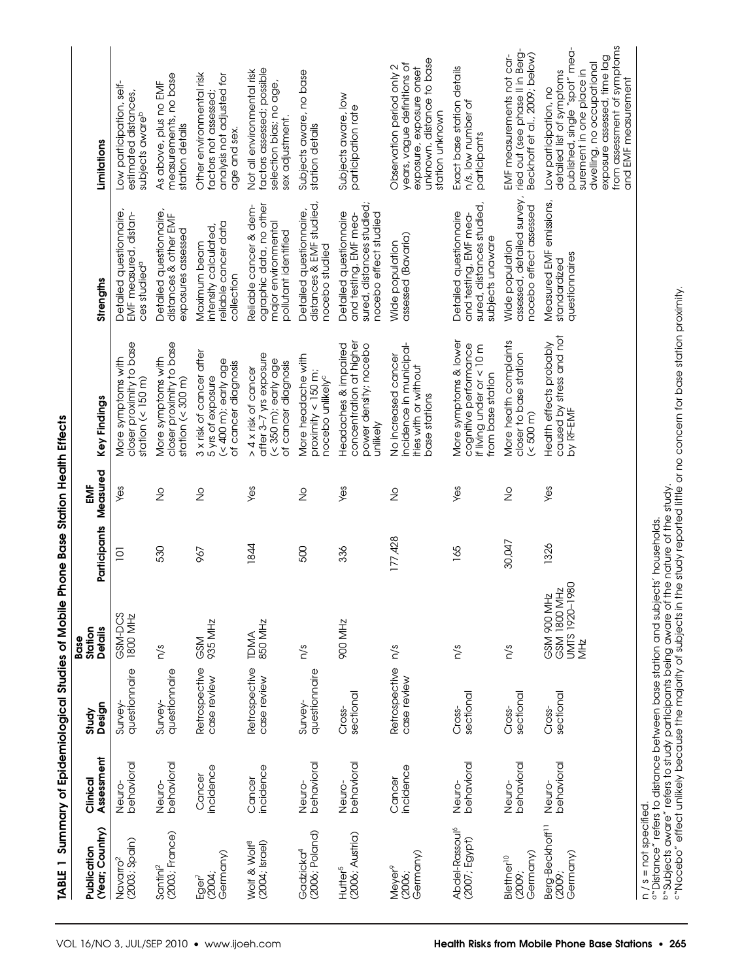TABLE 1 Summary of Epidemiological Studies of Mobile Phone Base Station Health Effects **TABLE 1 Summary of Epidemiological Studies of Mobile Phone Base Station Health Effects**

| (Year; Country)<br>Publication                               | Assessment<br>Clinical | Design<br>Study                | Station<br><b>Details</b><br>Base                                              | Participants | Measured<br>ËM | Key Findings                                                                                                                                                                                                                | Strengths                                                                                             | Limitations                                                                                                                                                                                                                      |
|--------------------------------------------------------------|------------------------|--------------------------------|--------------------------------------------------------------------------------|--------------|----------------|-----------------------------------------------------------------------------------------------------------------------------------------------------------------------------------------------------------------------------|-------------------------------------------------------------------------------------------------------|----------------------------------------------------------------------------------------------------------------------------------------------------------------------------------------------------------------------------------|
| $(2003;$ Spain)<br>Navarro <sup>2</sup>                      | behavioral<br>Neuro-   | questionnaire<br><b>Survey</b> | GSM-DCS<br>1800 MHz                                                            | ē            | Yes            | closer proximity to base<br>More symptoms with<br>station $(< 150$ m)                                                                                                                                                       | Detailed questionnaire,<br>EMF measured, distan-<br>ces studied <sup>a</sup>                          | Low participation, self-<br>estimated distances,<br>subjects aware <sup>b</sup>                                                                                                                                                  |
| $(2003;$ France)<br>Santini <sup>2</sup>                     | behavioral<br>Neuro-   | questionnaire<br>Survey-       | n/s                                                                            | 530          | $\frac{1}{2}$  | closer proximity to base<br>More symptoms with<br>station $(< 300 \text{ m})$                                                                                                                                               | Detailed questionnaire,<br>distances & other EMF<br>exposures assessed                                | measurements, no base<br>As above, plus no EMF<br>station details                                                                                                                                                                |
| Germany)<br>(2004;<br>Eger <sup>7</sup>                      | incidence<br>Cancer    | Retrospective<br>case review   | 935 MHz<br><b>GSM</b>                                                          | 967          | $\frac{1}{2}$  | 3 x risk of cancer after<br>(< 400 m); early age<br>of cancer diagnosis<br>5 yrs of exposure                                                                                                                                | reliable cancer data<br>intensity calculated<br>Maximum beam<br>collection                            | Other environmental risk<br>analysis not adjusted for<br>factors not assessed;<br>age and sex.                                                                                                                                   |
| <b>Molf &amp; Wolf<sup>8</sup></b><br>$(2004; \text{level})$ | incidence<br>Cancer    | Retrospective<br>case review   | 850 MHz<br><b>TDMA</b>                                                         | 1844         | Yes            | after 3–7 yrs exposure<br>(< 350 m); early age<br>of cancer diagnosis<br>> 4 x risk of cancer                                                                                                                               | ographic data, no other<br>Reliable cancer & dem-<br>major environmental<br>pollutant identified      | factors assessed; possible<br>Not all environmental risk<br>selection bias; no age,<br>sex adjustment.                                                                                                                           |
| $(2006;$ Poland)<br>Gadzicka <sup>4</sup>                    | behavioral<br>Neuro-   | questionnaire<br>Survey-       | n/s                                                                            | 500          | $\frac{1}{2}$  | More headache with<br>proximity $<$ 150 m;<br>nocebo unlikely <sup>c</sup>                                                                                                                                                  | Detailed questionnaire,<br>distances & EMF studied,<br>nocebo studied                                 | Subjects aware, no base<br>station details                                                                                                                                                                                       |
| (2006; Austria)<br>Hutter <sup>5</sup>                       | behavioral<br>Neuro-   | sectional<br>Cross-            | <b>SOO MHZ</b>                                                                 | 336          | Yes            | concentration at higher<br>Headaches & impaired<br>power density; nocebo<br>unlikely                                                                                                                                        | sured, distances studied;<br>Detailed questionnaire<br>and testing, EMF mea-<br>nocebo effect studied | Subjects aware, low<br>participation rate                                                                                                                                                                                        |
| Germany)<br>Meyer <sup>9</sup><br>(2006;                     | incidence<br>Cancer    | Retrospective<br>case review   | n/s                                                                            | 177,428      | $\frac{0}{2}$  | incidence in municipal-<br>No increased cancer<br>tties with or without<br>base stations                                                                                                                                    | assessed (Bavaria)<br>Wide population                                                                 | unknown, distance to base<br>years, vague definitions of<br>Observation period only 2<br>exposure, exposure onset<br>station unknown                                                                                             |
| Abdel-Rassoul <sup>6</sup><br>(2007; Egypt)                  | behavioral<br>Neuro-   | sectional<br>Cross-            | n/s                                                                            | 165          | Yes            | More symptoms & lower<br>cognitive performance<br>if living under or < 10 m<br>from base station                                                                                                                            | sured, distances studied,<br>Detailed questionnaire<br>and testing, EMF mea-<br>subjects unaware      | Exact base station details<br>n/s, low number of<br>participants                                                                                                                                                                 |
| Germany)<br>Blettner <sup>10</sup><br>(2009;                 | behavioral<br>Neuro-   | sectional<br>Cross-            | n/s                                                                            | 30,047       | $\frac{0}{2}$  | More health complaints<br>closer to base station<br>$($ < 500 m)                                                                                                                                                            | assessed, detailed survey,<br>nocebo effect assessed<br>Wide population                               | ried out (see phase II in Berg-<br>Beckhoff et al., 2009; below)<br>EMF measurements not car-                                                                                                                                    |
| Berg-Beckhoff <sup>11</sup><br>Germany)<br>(2009;            | behavioral<br>Neuro-   | sectional<br>Cross-            | UMTS 1920-1980<br>GSM 1800 MHz<br>GSM 900 MHz<br>MHz                           | 1326         | Yes            | caused by stress and not<br>Health effects probably<br>by RF-EMF                                                                                                                                                            | Measured EMF emissions,<br>questionnaires<br>standardized                                             | from assessment of symptoms<br>published, single "spot" mea-<br>exposure assessed, time lag<br>dwelling, no ocupational<br>surement in one place in<br>detailed list of symptoms<br>and EMF measurement<br>Low participation, no |
| $n / s = not specified.$                                     |                        |                                | a "Distance" refers to distance between base station and subjects' households. |              |                | prsubjects aware" refers to study participants being aware of the nature of the study.<br>crNocebo" effect unlikely because the majority of subjects in the study reported little or no concern for base station proximity. |                                                                                                       |                                                                                                                                                                                                                                  |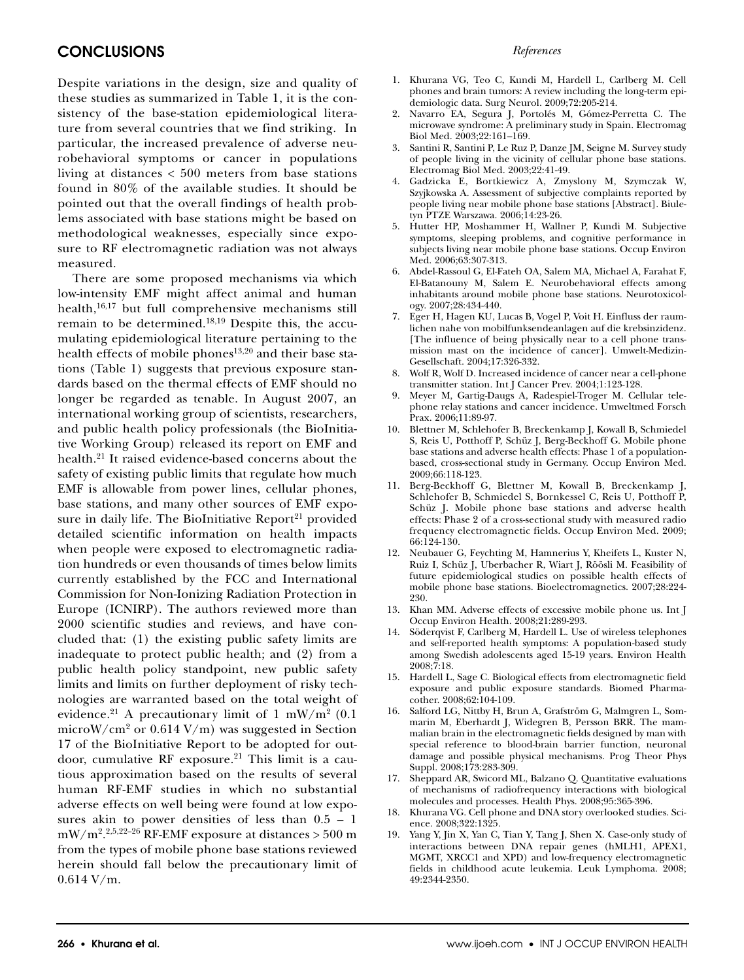#### *References*

## **CONCLUSIONS**

Despite variations in the design, size and quality of these studies as summarized in Table 1, it is the consistency of the base-station epidemiological literature from several countries that we find striking. In particular, the increased prevalence of adverse neurobehavioral symptoms or cancer in populations living at distances < 500 meters from base stations found in 80% of the available studies. It should be pointed out that the overall findings of health problems associated with base stations might be based on methodological weaknesses, especially since exposure to RF electromagnetic radiation was not always measured.

There are some proposed mechanisms via which low-intensity EMF might affect animal and human health,16,17 but full comprehensive mechanisms still remain to be determined.18,19 Despite this, the accumulating epidemiological literature pertaining to the health effects of mobile phones<sup>13,20</sup> and their base stations (Table 1) suggests that previous exposure standards based on the thermal effects of EMF should no longer be regarded as tenable. In August 2007, an international working group of scientists, researchers, and public health policy professionals (the BioInitiative Working Group) released its report on EMF and health.21 It raised evidence-based concerns about the safety of existing public limits that regulate how much EMF is allowable from power lines, cellular phones, base stations, and many other sources of EMF exposure in daily life. The BioInitiative Report $21$  provided detailed scientific information on health impacts when people were exposed to electromagnetic radiation hundreds or even thousands of times below limits currently established by the FCC and International Commission for Non-Ionizing Radiation Protection in Europe (ICNIRP). The authors reviewed more than 2000 scientific studies and reviews, and have concluded that: (1) the existing public safety limits are inadequate to protect public health; and (2) from a public health policy standpoint, new public safety limits and limits on further deployment of risky technologies are warranted based on the total weight of evidence.<sup>21</sup> A precautionary limit of 1 mW/m<sup>2</sup> (0.1) microW/cm2 or 0.614 V/m) was suggested in Section 17 of the BioInitiative Report to be adopted for outdoor, cumulative RF exposure.<sup>21</sup> This limit is a cautious approximation based on the results of several human RF-EMF studies in which no substantial adverse effects on well being were found at low exposures akin to power densities of less than 0.5 – 1 mW/m2. 2,5,22–26 RF-EMF exposure at distances > 500 m from the types of mobile phone base stations reviewed herein should fall below the precautionary limit of 0.614 V/m.

- 1. Khurana VG, Teo C, Kundi M, Hardell L, Carlberg M. Cell phones and brain tumors: A review including the long-term epidemiologic data. Surg Neurol. 2009;72:205-214.
- 2. Navarro EA, Segura J, Portolés M, Gómez-Perretta C. The microwave syndrome: A preliminary study in Spain. Electromag Biol Med. 2003;22:161–169.
- 3. Santini R, Santini P, Le Ruz P, Danze JM, Seigne M. Survey study of people living in the vicinity of cellular phone base stations. Electromag Biol Med. 2003;22:41-49.
- 4. Gadzicka E, Bortkiewicz A, Zmyslony M, Szymczak W, Szyjkowska A. Assessment of subjective complaints reported by people living near mobile phone base stations [Abstract]. Biuletyn PTZE Warszawa. 2006;14:23-26.
- 5. Hutter HP, Moshammer H, Wallner P, Kundi M. Subjective symptoms, sleeping problems, and cognitive performance in subjects living near mobile phone base stations. Occup Environ Med. 2006;63:307-313.
- 6. Abdel-Rassoul G, El-Fateh OA, Salem MA, Michael A, Farahat F, El-Batanouny M, Salem E. Neurobehavioral effects among inhabitants around mobile phone base stations. Neurotoxicology. 2007;28:434-440.
- 7. Eger H, Hagen KU, Lucas B, Vogel P, Voit H. Einfluss der raumlichen nahe von mobilfunksendeanlagen auf die krebsinzidenz. [The influence of being physically near to a cell phone transmission mast on the incidence of cancer]. Umwelt-Medizin-Gesellschaft. 2004;17:326-332.
- 8. Wolf R, Wolf D. Increased incidence of cancer near a cell-phone transmitter station. Int J Cancer Prev. 2004;1:123-128.
- 9. Meyer M, Gartig-Daugs A, Radespiel-Troger M. Cellular telephone relay stations and cancer incidence. Umweltmed Forsch Prax. 2006;11:89-97.
- 10. Blettner M, Schlehofer B, Breckenkamp J, Kowall B, Schmiedel S, Reis U, Potthoff P, Schüz J, Berg-Beckhoff G. Mobile phone base stations and adverse health effects: Phase 1 of a populationbased, cross-sectional study in Germany. Occup Environ Med. 2009;66:118-123.
- 11. Berg-Beckhoff G, Blettner M, Kowall B, Breckenkamp J, Schlehofer B, Schmiedel S, Bornkessel C, Reis U, Potthoff P, Schüz J. Mobile phone base stations and adverse health effects: Phase 2 of a cross-sectional study with measured radio frequency electromagnetic fields. Occup Environ Med. 2009; 66:124-130.
- 12. Neubauer G, Feychting M, Hamnerius Y, Kheifets L, Kuster N, Ruiz I, Schüz J, Uberbacher R, Wiart J, Röösli M. Feasibility of future epidemiological studies on possible health effects of mobile phone base stations. Bioelectromagnetics. 2007;28:224- 230.
- 13. Khan MM. Adverse effects of excessive mobile phone us. Int J Occup Environ Health. 2008;21:289-293.
- 14. Söderqvist F, Carlberg M, Hardell L. Use of wireless telephones and self-reported health symptoms: A population-based study among Swedish adolescents aged 15-19 years. Environ Health 2008;7:18.
- 15. Hardell L, Sage C. Biological effects from electromagnetic field exposure and public exposure standards. Biomed Pharmacother. 2008;62:104-109.
- 16. Salford LG, Nittby H, Brun A, Grafström G, Malmgren L, Sommarin M, Eberhardt J, Widegren B, Persson BRR. The mammalian brain in the electromagnetic fields designed by man with special reference to blood-brain barrier function, neuronal damage and possible physical mechanisms. Prog Theor Phys Suppl. 2008;173:283-309.
- 17. Sheppard AR, Swicord ML, Balzano Q. Quantitative evaluations of mechanisms of radiofrequency interactions with biological molecules and processes. Health Phys. 2008;95:365-396.
- 18. Khurana VG. Cell phone and DNA story overlooked studies. Science. 2008;322:1325.
- 19. Yang Y, Jin X, Yan C, Tian Y, Tang J, Shen X. Case-only study of interactions between DNA repair genes (hMLH1, APEX1, MGMT, XRCC1 and XPD) and low-frequency electromagnetic fields in childhood acute leukemia. Leuk Lymphoma. 2008; 49:2344-2350.